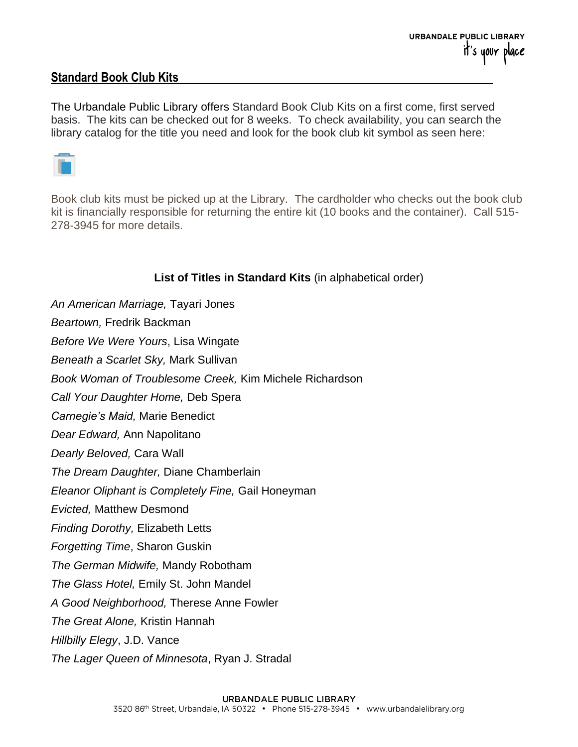## **Standard Book Club Kits**

The Urbandale Public Library offers Standard Book Club Kits on a first come, first served basis. The kits can be checked out for 8 weeks. To check availability, you can search the library catalog for the title you need and look for the book club kit symbol as seen here:



Book club kits must be picked up at the Library. The cardholder who checks out the book club kit is financially responsible for returning the entire kit (10 books and the container). Call 515- 278-3945 for more details.

## **List of Titles in Standard Kits** (in alphabetical order)

*An American Marriage,* Tayari Jones

*Beartown,* Fredrik Backman

*Before We Were Yours*, Lisa Wingate

*Beneath a Scarlet Sky,* Mark Sullivan

*Book Woman of Troublesome Creek,* Kim Michele Richardson

*Call Your Daughter Home,* Deb Spera

*Carnegie's Maid,* Marie Benedict

*Dear Edward,* Ann Napolitano

*Dearly Beloved,* Cara Wall

*The Dream Daughter,* Diane Chamberlain

*Eleanor Oliphant is Completely Fine,* Gail Honeyman

*Evicted,* Matthew Desmond

*Finding Dorothy,* Elizabeth Letts

*Forgetting Time*, Sharon Guskin

*The German Midwife,* Mandy Robotham

*The Glass Hotel,* Emily St. John Mandel

*A Good Neighborhood,* Therese Anne Fowler

*The Great Alone,* Kristin Hannah

*Hillbilly Elegy*, J.D. Vance

*The Lager Queen of Minnesota*, Ryan J. Stradal